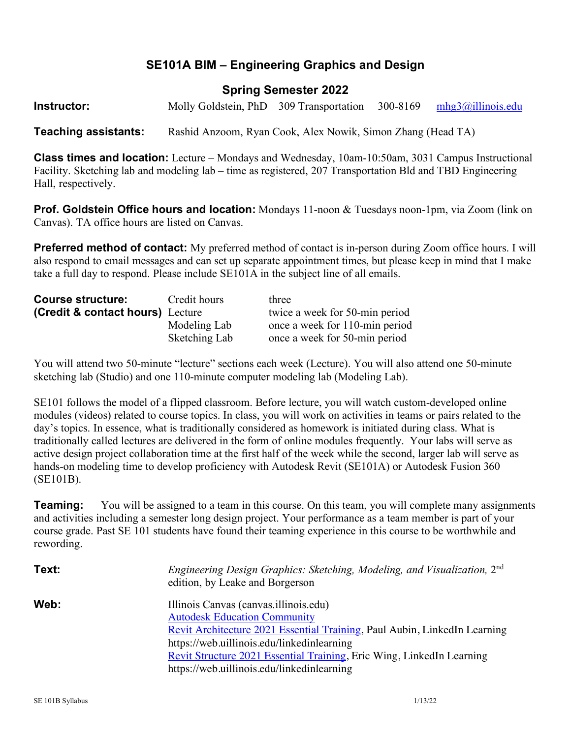## **SE101A BIM – Engineering Graphics and Design**

### **Spring Semester 2022**

**Instructor:** Molly Goldstein, PhD 309 Transportation 300-8169 mhg3@illinois.edu

**Teaching assistants:** Rashid Anzoom, Ryan Cook, Alex Nowik, Simon Zhang (Head TA)

**Class times and location:** Lecture – Mondays and Wednesday, 10am-10:50am, 3031 Campus Instructional Facility. Sketching lab and modeling lab – time as registered, 207 Transportation Bld and TBD Engineering Hall, respectively.

**Prof. Goldstein Office hours and location:** Mondays 11-noon & Tuesdays noon-1pm, via Zoom (link on Canvas). TA office hours are listed on Canvas.

**Preferred method of contact:** My preferred method of contact is in-person during Zoom office hours. I will also respond to email messages and can set up separate appointment times, but please keep in mind that I make take a full day to respond. Please include SE101A in the subject line of all emails.

| <b>Course structure:</b>         | Credit hours  | three                          |  |  |  |
|----------------------------------|---------------|--------------------------------|--|--|--|
| (Credit & contact hours) Lecture |               | twice a week for 50-min period |  |  |  |
|                                  | Modeling Lab  | once a week for 110-min period |  |  |  |
|                                  | Sketching Lab | once a week for 50-min period  |  |  |  |

You will attend two 50-minute "lecture" sections each week (Lecture). You will also attend one 50-minute sketching lab (Studio) and one 110-minute computer modeling lab (Modeling Lab).

SE101 follows the model of a flipped classroom. Before lecture, you will watch custom-developed online modules (videos) related to course topics. In class, you will work on activities in teams or pairs related to the day's topics. In essence, what is traditionally considered as homework is initiated during class. What is traditionally called lectures are delivered in the form of online modules frequently. Your labs will serve as active design project collaboration time at the first half of the week while the second, larger lab will serve as hands-on modeling time to develop proficiency with Autodesk Revit (SE101A) or Autodesk Fusion 360 (SE101B).

**Teaming:** You will be assigned to a team in this course. On this team, you will complete many assignments and activities including a semester long design project. Your performance as a team member is part of your course grade. Past SE 101 students have found their teaming experience in this course to be worthwhile and rewording.

| Text: | Engineering Design Graphics: Sketching, Modeling, and Visualization, 2 <sup>nd</sup><br>edition, by Leake and Borgerson                                                                                                                                                                                                        |
|-------|--------------------------------------------------------------------------------------------------------------------------------------------------------------------------------------------------------------------------------------------------------------------------------------------------------------------------------|
| Web:  | Illinois Canvas (canvas illinois edu)<br><b>Autodesk Education Community</b><br>Revit Architecture 2021 Essential Training, Paul Aubin, LinkedIn Learning<br>https://web.uillinois.edu/linkedinlearning<br>Revit Structure 2021 Essential Training, Eric Wing, LinkedIn Learning<br>https://web.uillinois.edu/linkedinlearning |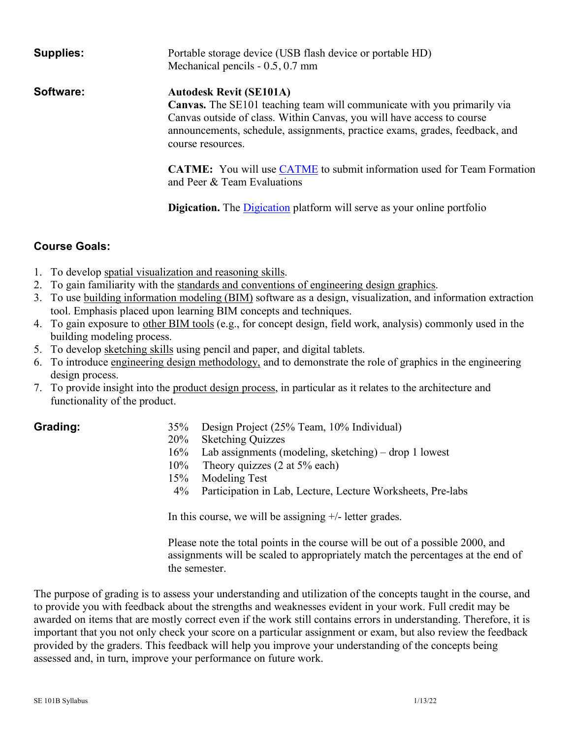| <b>Supplies:</b> | Portable storage device (USB flash device or portable HD)<br>Mechanical pencils $-0.5, 0.7$ mm                                                                                                                                                                                                 |
|------------------|------------------------------------------------------------------------------------------------------------------------------------------------------------------------------------------------------------------------------------------------------------------------------------------------|
| Software:        | <b>Autodesk Revit (SE101A)</b><br><b>Canvas.</b> The SE101 teaching team will communicate with you primarily via<br>Canvas outside of class. Within Canvas, you will have access to course<br>announcements, schedule, assignments, practice exams, grades, feedback, and<br>course resources. |
|                  | <b>CATME:</b> You will use CATME to submit information used for Team Formation<br>and Peer & Team Evaluations                                                                                                                                                                                  |
|                  | <b>Digication.</b> The <b>Digication</b> platform will serve as your online portfolio                                                                                                                                                                                                          |

#### **Course Goals:**

- 1. To develop spatial visualization and reasoning skills.
- 2. To gain familiarity with the standards and conventions of engineering design graphics.
- 3. To use building information modeling (BIM) software as a design, visualization, and information extraction tool. Emphasis placed upon learning BIM concepts and techniques.
- 4. To gain exposure to other BIM tools (e.g., for concept design, field work, analysis) commonly used in the building modeling process.
- 5. To develop sketching skills using pencil and paper, and digital tablets.
- 6. To introduce engineering design methodology, and to demonstrate the role of graphics in the engineering design process.
- 7. To provide insight into the product design process, in particular as it relates to the architecture and functionality of the product.

- **Grading:** 35% Design Project (25% Team, 10% Individual)
	- 20% Sketching Quizzes
	- 16% Lab assignments (modeling, sketching) drop 1 lowest
	- 10% Theory quizzes (2 at 5% each)
	- 15% Modeling Test
	- 4% Participation in Lab, Lecture, Lecture Worksheets, Pre-labs

In this course, we will be assigning +/- letter grades.

Please note the total points in the course will be out of a possible 2000, and assignments will be scaled to appropriately match the percentages at the end of the semester.

The purpose of grading is to assess your understanding and utilization of the concepts taught in the course, and to provide you with feedback about the strengths and weaknesses evident in your work. Full credit may be awarded on items that are mostly correct even if the work still contains errors in understanding. Therefore, it is important that you not only check your score on a particular assignment or exam, but also review the feedback provided by the graders. This feedback will help you improve your understanding of the concepts being assessed and, in turn, improve your performance on future work.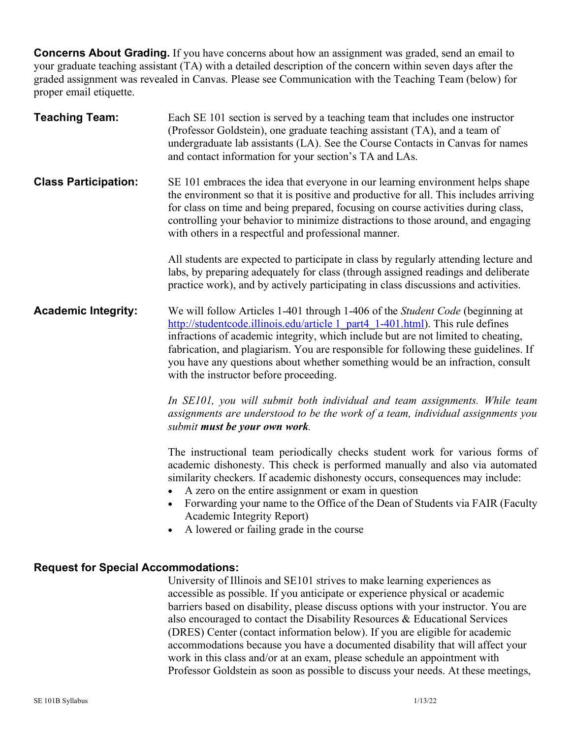**Concerns About Grading.** If you have concerns about how an assignment was graded, send an email to your graduate teaching assistant (TA) with a detailed description of the concern within seven days after the graded assignment was revealed in Canvas. Please see Communication with the Teaching Team (below) for proper email etiquette.

| <b>Teaching Team:</b>                      | Each SE 101 section is served by a teaching team that includes one instructor<br>(Professor Goldstein), one graduate teaching assistant (TA), and a team of<br>undergraduate lab assistants (LA). See the Course Contacts in Canvas for names<br>and contact information for your section's TA and LAs.                                                                                                                                                                     |
|--------------------------------------------|-----------------------------------------------------------------------------------------------------------------------------------------------------------------------------------------------------------------------------------------------------------------------------------------------------------------------------------------------------------------------------------------------------------------------------------------------------------------------------|
| <b>Class Participation:</b>                | SE 101 embraces the idea that everyone in our learning environment helps shape<br>the environment so that it is positive and productive for all. This includes arriving<br>for class on time and being prepared, focusing on course activities during class,<br>controlling your behavior to minimize distractions to those around, and engaging<br>with others in a respectful and professional manner.                                                                    |
|                                            | All students are expected to participate in class by regularly attending lecture and<br>labs, by preparing adequately for class (through assigned readings and deliberate<br>practice work), and by actively participating in class discussions and activities.                                                                                                                                                                                                             |
| <b>Academic Integrity:</b>                 | We will follow Articles 1-401 through 1-406 of the Student Code (beginning at<br>http://studentcode.illinois.edu/article 1_part4_1-401.html). This rule defines<br>infractions of academic integrity, which include but are not limited to cheating,<br>fabrication, and plagiarism. You are responsible for following these guidelines. If<br>you have any questions about whether something would be an infraction, consult<br>with the instructor before proceeding.     |
|                                            | In SE101, you will submit both individual and team assignments. While team<br>assignments are understood to be the work of a team, individual assignments you<br>submit must be your own work.                                                                                                                                                                                                                                                                              |
|                                            | The instructional team periodically checks student work for various forms of<br>academic dishonesty. This check is performed manually and also via automated<br>similarity checkers. If academic dishonesty occurs, consequences may include:<br>A zero on the entire assignment or exam in question<br>Forwarding your name to the Office of the Dean of Students via FAIR (Faculty<br>$\bullet$<br>Academic Integrity Report)<br>A lowered or failing grade in the course |
| <b>Request for Special Accommodations:</b> | University of Illinois and SE101 strives to make learning experiences as                                                                                                                                                                                                                                                                                                                                                                                                    |
|                                            | accessible as possible. If you anticipate or experience physical or academic                                                                                                                                                                                                                                                                                                                                                                                                |

barriers based on disability, please discuss options with your instructor. You are also encouraged to contact the Disability Resources & Educational Services (DRES) Center (contact information below). If you are eligible for academic accommodations because you have a documented disability that will affect your work in this class and/or at an exam, please schedule an appointment with Professor Goldstein as soon as possible to discuss your needs. At these meetings,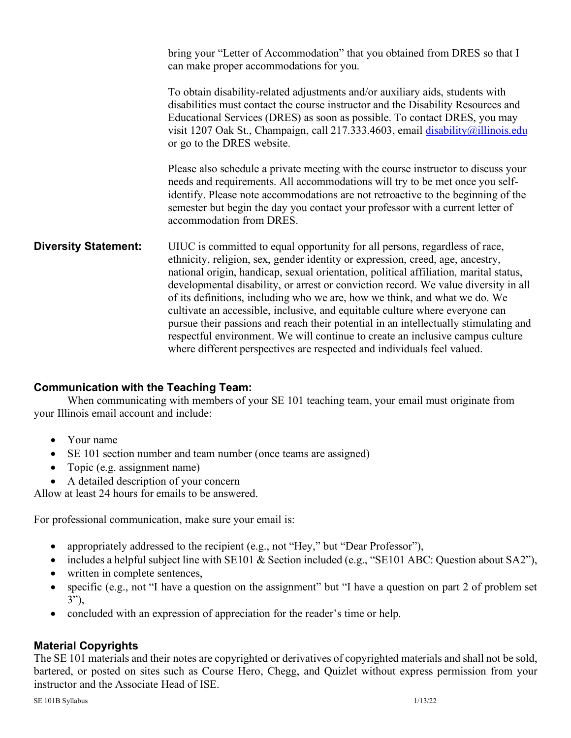bring your "Letter of Accommodation" that you obtained from DRES so that I can make proper accommodations for you.

To obtain disability-related adjustments and/or auxiliary aids, students with disabilities must contact the course instructor and the Disability Resources and Educational Services (DRES) as soon as possible. To contact DRES, you may visit 1207 Oak St., Champaign, call 217.333.4603, email disability@illinois.edu or go to the DRES website.

Please also schedule a private meeting with the course instructor to discuss your needs and requirements. All accommodations will try to be met once you selfidentify. Please note accommodations are not retroactive to the beginning of the semester but begin the day you contact your professor with a current letter of accommodation from DRES.

**Diversity Statement:** UIUC is committed to equal opportunity for all persons, regardless of race, ethnicity, religion, sex, gender identity or expression, creed, age, ancestry, national origin, handicap, sexual orientation, political affiliation, marital status, developmental disability, or arrest or conviction record. We value diversity in all of its definitions, including who we are, how we think, and what we do. We cultivate an accessible, inclusive, and equitable culture where everyone can pursue their passions and reach their potential in an intellectually stimulating and respectful environment. We will continue to create an inclusive campus culture where different perspectives are respected and individuals feel valued.

#### **Communication with the Teaching Team:**

When communicating with members of your SE 101 teaching team, your email must originate from your Illinois email account and include:

- Your name
- SE 101 section number and team number (once teams are assigned)
- Topic (e.g. assignment name)
- A detailed description of your concern

Allow at least 24 hours for emails to be answered.

For professional communication, make sure your email is:

- appropriately addressed to the recipient (e.g., not "Hey," but "Dear Professor"),
- includes a helpful subject line with SE101 & Section included (e.g., "SE101 ABC: Question about SA2"),
- written in complete sentences,
- specific (e.g., not "I have a question on the assignment" but "I have a question on part 2 of problem set 3"),
- concluded with an expression of appreciation for the reader's time or help.

#### **Material Copyrights**

The SE 101 materials and their notes are copyrighted or derivatives of copyrighted materials and shall not be sold, bartered, or posted on sites such as Course Hero, Chegg, and Quizlet without express permission from your instructor and the Associate Head of ISE.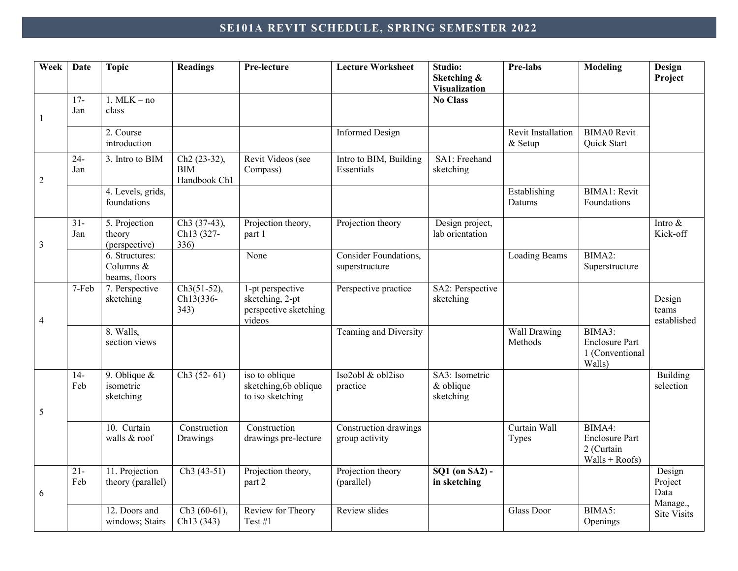# **SE101A REVIT SCHEDULE, SPRING SEMESTER 2022**

| Week           | Date          | <b>Topic</b>                                 | <b>Readings</b>                                        | Pre-lecture                                                            | <b>Lecture Worksheet</b>                | Studio:<br>Sketching &<br><b>Visualization</b>            | Pre-labs                      | <b>Modeling</b>                                                   | Design<br>Project              |
|----------------|---------------|----------------------------------------------|--------------------------------------------------------|------------------------------------------------------------------------|-----------------------------------------|-----------------------------------------------------------|-------------------------------|-------------------------------------------------------------------|--------------------------------|
| -1             | $17-$<br>Jan  | $1. \text{MLK} - \text{no}$<br>class         |                                                        |                                                                        |                                         | <b>No Class</b>                                           |                               |                                                                   |                                |
|                |               | 2. Course<br>introduction                    |                                                        |                                                                        | <b>Informed Design</b>                  |                                                           | Revit Installation<br>& Setup | <b>BIMA0</b> Revit<br>Quick Start                                 |                                |
| $\overline{2}$ | $24 -$<br>Jan | 3. Intro to BIM                              | Ch <sub>2</sub> (23-32),<br><b>BIM</b><br>Handbook Ch1 | Revit Videos (see<br>Compass)                                          | Intro to BIM, Building<br>Essentials    | SA1: Freehand<br>sketching                                |                               |                                                                   |                                |
|                |               | 4. Levels, grids,<br>foundations             |                                                        |                                                                        |                                         |                                                           | Establishing<br>Datums        | <b>BIMA1</b> : Revit<br>Foundations                               |                                |
| $\overline{3}$ | $31 -$<br>Jan | 5. Projection<br>theory<br>(perspective)     | Ch <sub>3</sub> (37-43),<br>Ch13 (327-<br>336)         | Projection theory,<br>part 1                                           | Projection theory                       | Design project,<br>lab orientation                        |                               |                                                                   | Intro &<br>Kick-off            |
|                |               | 6. Structures:<br>Columns &<br>beams, floors |                                                        | None                                                                   | Consider Foundations,<br>superstructure |                                                           | <b>Loading Beams</b>          | BIMA2:<br>Superstructure                                          |                                |
| $\overline{4}$ | 7-Feb         | 7. Perspective<br>sketching                  | $Ch3(51-52),$<br>Ch13(336-<br>343)                     | 1-pt perspective<br>sketching, 2-pt<br>perspective sketching<br>videos | Perspective practice                    | SA2: Perspective<br>sketching                             |                               |                                                                   | Design<br>teams<br>established |
|                |               | 8. Walls,<br>section views                   |                                                        |                                                                        | Teaming and Diversity                   |                                                           | Wall Drawing<br>Methods       | BIMA3:<br><b>Enclosure Part</b><br>1 (Conventional<br>Walls)      |                                |
| 5              | $14-$<br>Feb  | 9. Oblique $\&$<br>isometric<br>sketching    | $Ch3(52-61)$                                           | iso to oblique<br>sketching, 6b oblique<br>to iso sketching            | Iso2obl & obl2iso<br>practice           | SA3: Isometric<br>$&$ oblique<br>sketching                |                               |                                                                   | <b>Building</b><br>selection   |
|                |               | 10. Curtain<br>walls & roof                  | Construction<br>Drawings                               | Construction<br>drawings pre-lecture                                   | Construction drawings<br>group activity |                                                           | Curtain Wall<br>Types         | BIMA4:<br><b>Enclosure Part</b><br>2 (Curtain<br>$Walls + Roots)$ |                                |
| 6              | $21 -$<br>Feb | 11. Projection<br>theory (parallel)          | $Ch3(43-51)$                                           | Projection theory,<br>part 2                                           | Projection theory<br>(parallel)         | $\overline{SQ1}$ (on $\overline{SA2}$ ) -<br>in sketching |                               |                                                                   | Design<br>Project<br>Data      |
|                |               | 12. Doors and<br>windows; Stairs             | $Ch3(60-61)$ ,<br>Ch13 (343)                           | Review for Theory<br>Test #1                                           | Review slides                           |                                                           | <b>Glass Door</b>             | BIMA5:<br>Openings                                                | Manage.,<br><b>Site Visits</b> |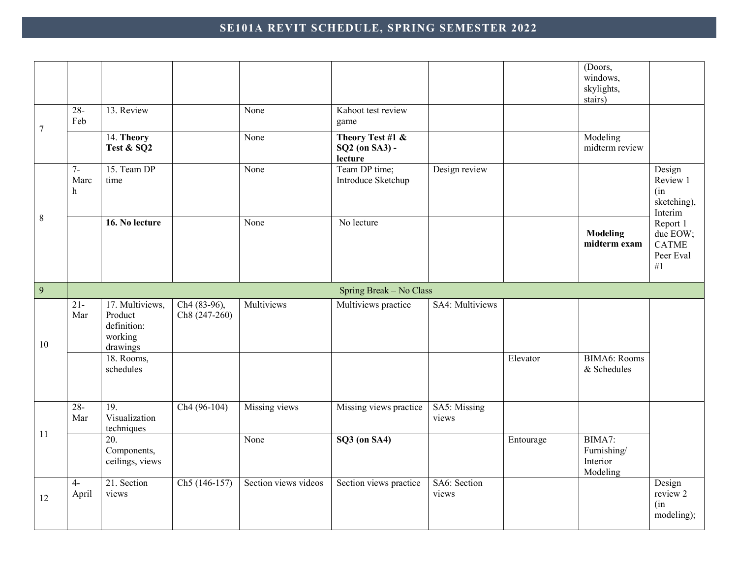## **SE101A REVIT SCHEDULE, SPRING SEMESTER 2022**

|                  |                              |                                                                  |                                           |                      |                                               |                       |           | (Doors,<br>windows,<br>skylights,<br>stairs)  |                                                            |
|------------------|------------------------------|------------------------------------------------------------------|-------------------------------------------|----------------------|-----------------------------------------------|-----------------------|-----------|-----------------------------------------------|------------------------------------------------------------|
| $\boldsymbol{7}$ | $28 -$<br>Feb                | 13. Review                                                       |                                           | None                 | Kahoot test review<br>game                    |                       |           |                                               |                                                            |
|                  |                              | 14. Theory<br>Test & SQ2                                         |                                           | None                 | Theory Test #1 &<br>SQ2 (on SA3) -<br>lecture |                       |           | Modeling<br>midterm review                    |                                                            |
|                  | $7 -$<br>Marc<br>$\mathbf h$ | 15. Team DP<br>time                                              |                                           | None                 | Team DP time;<br>Introduce Sketchup           | Design review         |           |                                               | Design<br>Review 1<br>(in)<br>sketching),<br>Interim       |
| $8\,$            |                              | 16. No lecture                                                   |                                           | None                 | No lecture                                    |                       |           | <b>Modeling</b><br>midterm exam               | Report 1<br>due $EOW$ ;<br><b>CATME</b><br>Peer Eval<br>#1 |
| 9                |                              |                                                                  |                                           |                      | Spring Break - No Class                       |                       |           |                                               |                                                            |
| 10               | $\overline{21}$<br>Mar       | 17. Multiviews,<br>Product<br>definition:<br>working<br>drawings | Ch <sub>4</sub> (83-96),<br>Ch8 (247-260) | Multiviews           | Multiviews practice                           | SA4: Multiviews       |           |                                               |                                                            |
|                  |                              | 18. Rooms,<br>schedules                                          |                                           |                      |                                               |                       | Elevator  | <b>BIMA6</b> : Rooms<br>& Schedules           |                                                            |
|                  | $28 -$<br>Mar                | 19.<br>Visualization<br>techniques                               | $Ch4(96-104)$                             | Missing views        | Missing views practice                        | SA5: Missing<br>views |           |                                               |                                                            |
| 11               |                              | 20.<br>Components,<br>ceilings, views                            |                                           | None                 | SQ3 (on SA4)                                  |                       | Entourage | BIMA7:<br>Furnishing/<br>Interior<br>Modeling |                                                            |
| 12               | $4-$<br>April                | 21. Section<br>views                                             | Ch5 (146-157)                             | Section views videos | Section views practice                        | SA6: Section<br>views |           |                                               | Design<br>review 2<br>(in)<br>modeling);                   |